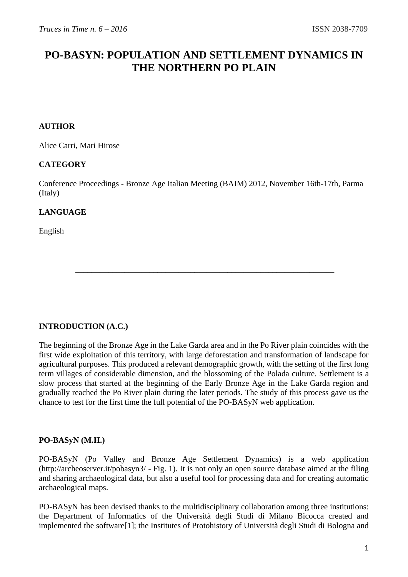# **PO-BASYN: POPULATION AND SETTLEMENT DYNAMICS IN THE NORTHERN PO PLAIN**

### **AUTHOR**

[Alice Carri,](http://unimi.academia.edu/AliceCarri) [Mari Hirose](http://unim.academia.edu/MariHirose)

#### **CATEGORY**

Conference Proceedings - Bronze Age Italian Meeting (BAIM) 2012, November 16th-17th, Parma (Italy)

\_\_\_\_\_\_\_\_\_\_\_\_\_\_\_\_\_\_\_\_\_\_\_\_\_\_\_\_\_\_\_\_\_\_\_\_\_\_\_\_\_\_\_\_\_\_\_\_\_\_\_\_\_\_\_\_\_\_\_\_\_\_\_

### **LANGUAGE**

English

### **INTRODUCTION (A.C.)**

The beginning of the Bronze Age in the Lake Garda area and in the Po River plain coincides with the first wide exploitation of this territory, with large deforestation and transformation of landscape for agricultural purposes. This produced a relevant demographic growth, with the setting of the first long term villages of considerable dimension, and the blossoming of the Polada culture. Settlement is a slow process that started at the beginning of the Early Bronze Age in the Lake Garda region and gradually reached the Po River plain during the later periods. The study of this process gave us the chance to test for the first time the full potential of the PO-BASyN web application.

#### **PO-BASyN (M.H.)**

PO-BASyN (Po Valley and Bronze Age Settlement Dynamics) is a web application [\(http://archeoserver.it/pobasyn3/](http://archeoserver.it/pobasyn3/) - Fig. 1). It is not only an open source database aimed at the filing and sharing archaeological data, but also a useful tool for processing data and for creating automatic archaeological maps.

PO-BASyN has been devised thanks to the multidisciplinary collaboration among three institutions: the Department of Informatics of the Università degli Studi di Milano Bicocca created and implemented the softwar[e\[1\];](http://www.archaeologicaltraces.org/#_ftn1) the Institutes of Protohistory of Università degli Studi di Bologna and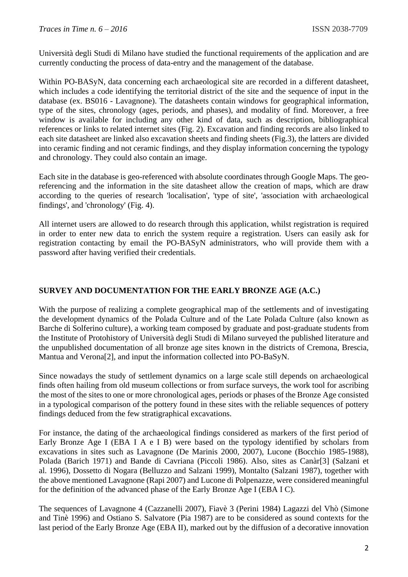Università degli Studi di Milano have studied the functional requirements of the application and are currently conducting the process of data-entry and the management of the database.

Within PO-BASyN, data concerning each archaeological site are recorded in a different datasheet, which includes a code identifying the territorial district of the site and the sequence of input in the database (ex. BS016 - Lavagnone). The datasheets contain windows for geographical information, type of the sites, chronology (ages, periods, and phases), and modality of find. Moreover, a free window is available for including any other kind of data, such as description, bibliographical references or links to related internet sites (Fig. 2). Excavation and finding records are also linked to each site datasheet are linked also excavation sheets and finding sheets (Fig.3), the latters are divided into ceramic finding and not ceramic findings, and they display information concerning the typology and chronology. They could also contain an image.

Each site in the database is geo-referenced with absolute coordinates through Google Maps. The georeferencing and the information in the site datasheet allow the creation of maps, which are draw according to the queries of research 'localisation', 'type of site', 'association with archaeological findings', and 'chronology' (Fig. 4).

All internet users are allowed to do research through this application, whilst registration is required in order to enter new data to enrich the system require a registration. Users can easily ask for registration contacting by email the PO-BASyN administrators, who will provide them with a password after having verified their credentials.

# **SURVEY AND DOCUMENTATION FOR THE EARLY BRONZE AGE (A.C.)**

With the purpose of realizing a complete geographical map of the settlements and of investigating the development dynamics of the Polada Culture and of the Late Polada Culture (also known as Barche di Solferino culture), a working team composed by graduate and post-graduate students from the Institute of Protohistory of Università degli Studi di Milano surveyed the published literature and the unpublished documentation of all bronze age sites known in the districts of Cremona, Brescia, Mantua and Veron[a\[2\],](http://www.archaeologicaltraces.org/#_ftn2) and input the information collected into PO-BaSyN.

Since nowadays the study of settlement dynamics on a large scale still depends on archaeological finds often hailing from old museum collections or from surface surveys, the work tool for ascribing the most of the sites to one or more chronological ages, periods or phases of the Bronze Age consisted in a typological comparison of the pottery found in these sites with the reliable sequences of pottery findings deduced from the few stratigraphical excavations.

For instance, the dating of the archaeological findings considered as markers of the first period of Early Bronze Age I (EBA I A e I B) were based on the typology identified by scholars from excavations in sites such as Lavagnone (De Marinis 2000, 2007), Lucone (Bocchio 1985-1988), Polada (Barich 1971) and Bande di Cavriana (Piccoli 1986). Also, sites as Canà[r\[3\]](http://www.archaeologicaltraces.org/#_ftn3) (Salzani et al. 1996), Dossetto di Nogara (Belluzzo and Salzani 1999), Montalto (Salzani 1987), together with the above mentioned Lavagnone (Rapi 2007) and Lucone di Polpenazze, were considered meaningful for the definition of the advanced phase of the Early Bronze Age I (EBA I C).

The sequences of Lavagnone 4 (Cazzanelli 2007), Fiavè 3 (Perini 1984) Lagazzi del Vhò (Simone and Tinè 1996) and Ostiano S. Salvatore (Pia 1987) are to be considered as sound contexts for the last period of the Early Bronze Age (EBA II), marked out by the diffusion of a decorative innovation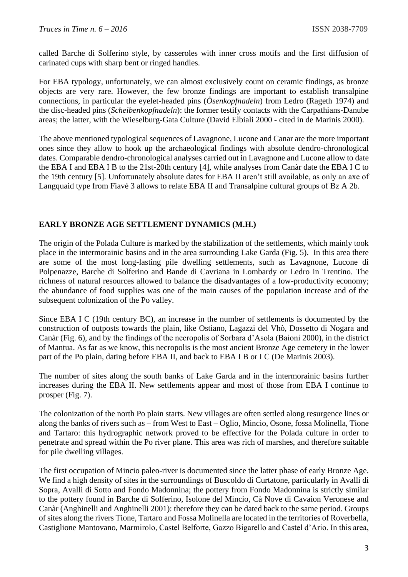called Barche di Solferino style, by casseroles with inner cross motifs and the first diffusion of carinated cups with sharp bent or ringed handles.

For EBA typology, unfortunately, we can almost exclusively count on ceramic findings, as bronze objects are very rare. However, the few bronze findings are important to establish transalpine connections, in particular the eyelet-headed pins (*Ösenkopfnadeln*) from Ledro (Rageth 1974) and the disc-headed pins (*Scheibenkopfnadeln*): the former testify contacts with the Carpathians-Danube areas; the latter, with the Wieselburg-Gata Culture (David Elbiali 2000 - cited in de Marinis 2000).

The above mentioned typological sequences of Lavagnone, Lucone and Canar are the more important ones since they allow to hook up the archaeological findings with absolute dendro-chronological dates. Comparable dendro-chronological analyses carried out in Lavagnone and Lucone allow to date the EBA I and EBA I B to the 21st-20th century [\[4\],](http://www.archaeologicaltraces.org/#_ftn4) while analyses from Canàr date the EBA I C to the 19th century [\[5\].](http://www.archaeologicaltraces.org/#_ftn5) Unfortunately absolute dates for EBA II aren't still available, as only an axe of Langquaid type from Fiavè 3 allows to relate EBA II and Transalpine cultural groups of Bz A 2b.

#### **EARLY BRONZE AGE SETTLEMENT DYNAMICS (M.H.)**

The origin of the Polada Culture is marked by the stabilization of the settlements, which mainly took place in the intermorainic basins and in the area surrounding Lake Garda (Fig. 5). In this area there are some of the most long-lasting pile dwelling settlements, such as Lavagnone, Lucone di Polpenazze, Barche di Solferino and Bande di Cavriana in Lombardy or Ledro in Trentino. The richness of natural resources allowed to balance the disadvantages of a low-productivity economy; the abundance of food supplies was one of the main causes of the population increase and of the subsequent colonization of the Po valley.

Since EBA I C (19th century BC), an increase in the number of settlements is documented by the construction of outposts towards the plain, like Ostiano, Lagazzi del Vhò, Dossetto di Nogara and Canàr (Fig. 6), and by the findings of the necropolis of Sorbara d'Asola (Baioni 2000), in the district of Mantua. As far as we know, this necropolis is the most ancient Bronze Age cemetery in the lower part of the Po plain, dating before EBA II, and back to EBA I B or I C (De Marinis 2003).

The number of sites along the south banks of Lake Garda and in the intermorainic basins further increases during the EBA II. New settlements appear and most of those from EBA I continue to prosper (Fig. 7).

The colonization of the north Po plain starts. New villages are often settled along resurgence lines or along the banks of rivers such as – from West to East – Oglio, Mincio, Osone, fossa Molinella, Tione and Tartaro: this hydrographic network proved to be effective for the Polada culture in order to penetrate and spread within the Po river plane. This area was rich of marshes, and therefore suitable for pile dwelling villages.

The first occupation of Mincio paleo-river is documented since the latter phase of early Bronze Age. We find a high density of sites in the surroundings of Buscoldo di Curtatone, particularly in Avalli di Sopra, Avalli di Sotto and Fondo Madonnina; the pottery from Fondo Madonnina is strictly similar to the pottery found in Barche di Solferino, Isolone del Mincio, Cà Nove di Cavaion Veronese and Canàr (Anghinelli and Anghinelli 2001): therefore they can be dated back to the same period. Groups of sites along the rivers Tione, Tartaro and Fossa Molinella are located in the territories of Roverbella, Castiglione Mantovano, Marmirolo, Castel Belforte, Gazzo Bigarello and Castel d'Ario. In this area,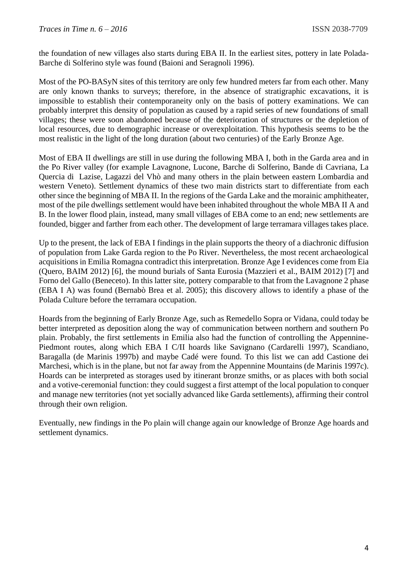the foundation of new villages also starts during EBA II. In the earliest sites, pottery in late Polada-Barche di Solferino style was found (Baioni and Seragnoli 1996).

Most of the PO-BASyN sites of this territory are only few hundred meters far from each other. Many are only known thanks to surveys; therefore, in the absence of stratigraphic excavations, it is impossible to establish their contemporaneity only on the basis of pottery examinations. We can probably interpret this density of population as caused by a rapid series of new foundations of small villages; these were soon abandoned because of the deterioration of structures or the depletion of local resources, due to demographic increase or overexploitation. This hypothesis seems to be the most realistic in the light of the long duration (about two centuries) of the Early Bronze Age.

Most of EBA II dwellings are still in use during the following MBA I, both in the Garda area and in the Po River valley (for example Lavagnone, Lucone, Barche di Solferino, Bande di Cavriana, La Quercia di Lazise, Lagazzi del Vhò and many others in the plain between eastern Lombardia and western Veneto). Settlement dynamics of these two main districts start to differentiate from each other since the beginning of MBA II. In the regions of the Garda Lake and the morainic amphitheater, most of the pile dwellings settlement would have been inhabited throughout the whole MBA II A and B. In the lower flood plain, instead, many small villages of EBA come to an end; new settlements are founded, bigger and farther from each other. The development of large terramara villages takes place.

Up to the present, the lack of EBA I findings in the plain supports the theory of a diachronic diffusion of population from Lake Garda region to the Po River. Nevertheless, the most recent archaeological acquisitions in Emilia Romagna contradict this interpretation. Bronze Age I evidences come from Eia (Quero, BAIM 2012) [\[6\],](http://www.archaeologicaltraces.org/#_ftn6) the mound burials of Santa Eurosia (Mazzieri et al., BAIM 2012) [\[7\]](http://www.archaeologicaltraces.org/#_ftn7) and Forno del Gallo (Beneceto). In this latter site, pottery comparable to that from the Lavagnone 2 phase (EBA I A) was found (Bernabò Brea et al. 2005); this discovery allows to identify a phase of the Polada Culture before the terramara occupation.

Hoards from the beginning of Early Bronze Age, such as Remedello Sopra or Vidana, could today be better interpreted as deposition along the way of communication between northern and southern Po plain. Probably, the first settlements in Emilia also had the function of controlling the Appennine-Piedmont routes, along which EBA I C/II hoards like Savignano (Cardarelli 1997), Scandiano, Baragalla (de Marinis 1997b) and maybe Cadé were found. To this list we can add Castione dei Marchesi, which is in the plane, but not far away from the Appennine Mountains (de Marinis 1997c). Hoards can be interpreted as storages used by itinerant bronze smiths, or as places with both social and a votive-ceremonial function: they could suggest a first attempt of the local population to conquer and manage new territories (not yet socially advanced like Garda settlements), affirming their control through their own religion.

Eventually, new findings in the Po plain will change again our knowledge of Bronze Age hoards and settlement dynamics.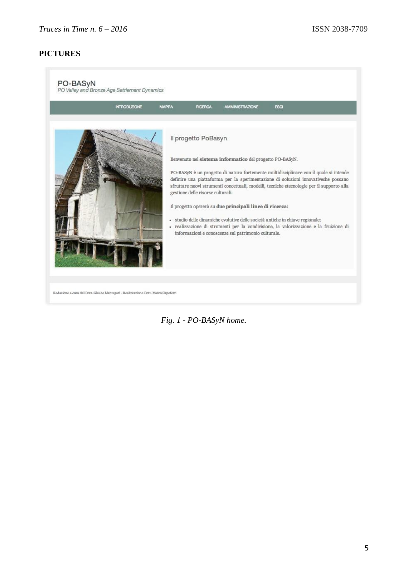# **PICTURES**

| Il progetto PoBasyn<br>Benvenuto nel sistema informatico del progetto PO-BASyN.<br>PO-BASyN è un progetto di natura fortemente multidisciplinare con il quale si intende<br>definire una piattaforma per la sperimentazione di soluzioni innovativeche possano<br>sfruttare nuovi strumenti concettuali, modelli, tecniche etecnologie per il supporto alla<br>gestione delle risorse culturali.<br>Il progetto opererà su due principali linee di ricerca:<br>- studio delle dinamiche evolutive delle società antiche in chiave regionale;<br>- realizzazione di strumenti per la condivisione, la valorizzazione e la fruizione di<br>informazioni e conoscenze sul patrimonio culturale. | <b>INTRODUZIONE</b> | <b>MAPPA</b> | <b>RICERCA</b> | <b>AMMINISTRAZIONE</b> | <b>ESCI</b> |
|----------------------------------------------------------------------------------------------------------------------------------------------------------------------------------------------------------------------------------------------------------------------------------------------------------------------------------------------------------------------------------------------------------------------------------------------------------------------------------------------------------------------------------------------------------------------------------------------------------------------------------------------------------------------------------------------|---------------------|--------------|----------------|------------------------|-------------|
|                                                                                                                                                                                                                                                                                                                                                                                                                                                                                                                                                                                                                                                                                              |                     |              |                |                        |             |

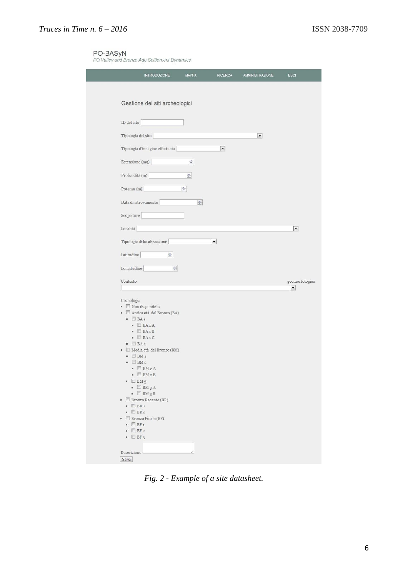PO-BASyN<br>PO Valley and Bronze Age Settlement Dynamics

| <b>INTRODUZIONE</b>                                                                                                                                                                                                                                                                                                                                                                                                                                                                                                                                                                                                                                                                                                              | <b>MAPPA</b>          | <b>RICERCA</b>           | <b>AMMINISTRAZIONE</b> | <b>ESCI</b>              |
|----------------------------------------------------------------------------------------------------------------------------------------------------------------------------------------------------------------------------------------------------------------------------------------------------------------------------------------------------------------------------------------------------------------------------------------------------------------------------------------------------------------------------------------------------------------------------------------------------------------------------------------------------------------------------------------------------------------------------------|-----------------------|--------------------------|------------------------|--------------------------|
|                                                                                                                                                                                                                                                                                                                                                                                                                                                                                                                                                                                                                                                                                                                                  |                       |                          |                        |                          |
| Gestione dei siti archeologici                                                                                                                                                                                                                                                                                                                                                                                                                                                                                                                                                                                                                                                                                                   |                       |                          |                        |                          |
| ID del sito                                                                                                                                                                                                                                                                                                                                                                                                                                                                                                                                                                                                                                                                                                                      |                       |                          |                        |                          |
| Tipologia del sito                                                                                                                                                                                                                                                                                                                                                                                                                                                                                                                                                                                                                                                                                                               |                       |                          | $\blacktriangledown$   |                          |
| Tipologia d'indagine effettuata                                                                                                                                                                                                                                                                                                                                                                                                                                                                                                                                                                                                                                                                                                  |                       | ≛                        |                        |                          |
| Estensione (mq)                                                                                                                                                                                                                                                                                                                                                                                                                                                                                                                                                                                                                                                                                                                  | $\div$                |                          |                        |                          |
| Profondità (m)                                                                                                                                                                                                                                                                                                                                                                                                                                                                                                                                                                                                                                                                                                                   | ÷.                    |                          |                        |                          |
| Potenza (m)                                                                                                                                                                                                                                                                                                                                                                                                                                                                                                                                                                                                                                                                                                                      | $\frac{\Delta}{\Psi}$ |                          |                        |                          |
| Data di ritrovamento                                                                                                                                                                                                                                                                                                                                                                                                                                                                                                                                                                                                                                                                                                             | $\div$                |                          |                        |                          |
| Scopritore                                                                                                                                                                                                                                                                                                                                                                                                                                                                                                                                                                                                                                                                                                                       |                       |                          |                        |                          |
| Località                                                                                                                                                                                                                                                                                                                                                                                                                                                                                                                                                                                                                                                                                                                         |                       |                          |                        | $\blacksquare$           |
| Tipologia di localizzazione                                                                                                                                                                                                                                                                                                                                                                                                                                                                                                                                                                                                                                                                                                      |                       | $\overline{\phantom{a}}$ |                        |                          |
| $\frac{\star}{\star}$<br>Latitudine                                                                                                                                                                                                                                                                                                                                                                                                                                                                                                                                                                                                                                                                                              |                       |                          |                        |                          |
| Longitudine                                                                                                                                                                                                                                                                                                                                                                                                                                                                                                                                                                                                                                                                                                                      | $\Rightarrow$         |                          |                        |                          |
| Contesto                                                                                                                                                                                                                                                                                                                                                                                                                                                                                                                                                                                                                                                                                                                         |                       |                          |                        | geomorfologico           |
|                                                                                                                                                                                                                                                                                                                                                                                                                                                                                                                                                                                                                                                                                                                                  |                       |                          |                        | $\overline{\phantom{a}}$ |
| Cronologia<br>$\blacksquare$ Non disponibile<br>Antica età del Bronzo (BA)<br>$\mathbf{u}$<br>$\blacksquare$ BA <sub>1</sub><br>$\blacksquare$ BA1A<br>$\blacksquare$ BA <sub>1</sub> B<br>$\blacksquare$ BA1C<br>$\blacksquare$ BA 2<br>Media età del Bronzo (BM)<br>$\mathbf{u}$<br>$BM_1$<br>$\blacksquare$<br>BM <sub>2</sub><br>×.<br>$\blacksquare$ $BM2A$<br>$\blacksquare$ BM $\triangleright$ B<br>$\blacksquare$ BM 3<br>$\blacksquare$ BM 3 A<br>$\blacksquare$ BM 3 B<br><b>E</b> Bronzo Recente (BR)<br>$\blacksquare$ BR <sub>1</sub><br>$\blacksquare$ BR <sub>2</sub><br><b>E</b> Bronzo Finale (BF)<br>ù.<br>$\blacksquare$ BF <sub>1</sub><br>$\blacksquare$ BF <sub>2</sub><br>$\blacksquare$ BF <sub>3</sub> |                       |                          |                        |                          |
| Descrizione<br>Salva                                                                                                                                                                                                                                                                                                                                                                                                                                                                                                                                                                                                                                                                                                             |                       |                          |                        |                          |

*Fig. 2 - Example of a site datasheet.*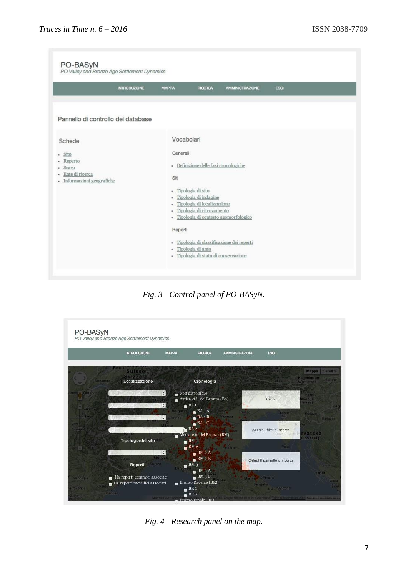| PO-BASyN<br>PO Valley and Bronze Age Settlement Dynamics                                                   | <b>INTRODUZIONE</b> | <b>MAPPA</b>                                                | <b>RICERCA</b>                                                                                                                                      | AMMINISTRAZIONE                                                                      | ESCI |
|------------------------------------------------------------------------------------------------------------|---------------------|-------------------------------------------------------------|-----------------------------------------------------------------------------------------------------------------------------------------------------|--------------------------------------------------------------------------------------|------|
|                                                                                                            |                     |                                                             |                                                                                                                                                     |                                                                                      |      |
|                                                                                                            |                     |                                                             |                                                                                                                                                     |                                                                                      |      |
| Pannello di controllo del database                                                                         |                     |                                                             |                                                                                                                                                     |                                                                                      |      |
|                                                                                                            |                     |                                                             |                                                                                                                                                     |                                                                                      |      |
| Schede<br>Sito<br>٠<br>Reperto<br>٠<br>Scavo<br>٠<br>Ente di ricerca<br>٠<br>Informazioni geografiche<br>٠ |                     | Vocabolari<br>Generali<br>Siti<br>$\mathbf{u}$<br>$\bullet$ | · Definizione delle fasi cronologiche<br>- Tipologia di sito<br>Tipologia di indagine<br>Tipologia di localizzazione<br>- Tipologia di ritrovamento |                                                                                      |      |
|                                                                                                            |                     | Reperti                                                     | - Tipologia di ansa<br>· Tipologia di stato di conservazione                                                                                        | - Tipologia di contesto geomorfologico<br>· Tipologia di classificazione dei reperti |      |

*Fig. 3 - Control panel of PO-BASyN.*

|               | <b>INTRODUZIONE</b>           | <b>MAPPA</b><br><b>RICERCA</b>               | AMMINISTRAZIONE          | ESCI                                  |                                     |
|---------------|-------------------------------|----------------------------------------------|--------------------------|---------------------------------------|-------------------------------------|
|               | Suisse                        |                                              |                          |                                       | Mappa<br><b>Satellite</b>           |
| Lausanne      | Localizzazione                | Cronologia                                   | <b>The Caree</b>         |                                       | Klagenfurt am Manbor<br>Wortherson  |
| Geneve,       | $\ddot{\bullet}$              | Non disponibile                              |                          |                                       | Kamnik                              |
|               |                               | Antica età del Bronzo (BA)                   |                          | Cerca                                 | wenija <sup>.</sup><br><b>onini</b> |
| <b>Annecy</b> | ÷.                            | $B^{\text{BA}}$<br>Bergamo                   |                          |                                       |                                     |
| $m$ ports.    | $\ddot{\cdot}$                | BA1A<br>BA1B<br>Monza                        | reviso.<br><b>ICENZA</b> | <b>Trieste</b>                        | <b><i>Roberts</i></b><br>Karlovac   |
| Voin          |                               | $B_{A1}C$<br>Milano                          |                          | nope                                  |                                     |
| Gluim St      |                               | BA <sub>2</sub><br>Media età del Bronzo (BM) |                          | Azzera i filtri di ricerca<br>Roving! | vatska                              |
|               | Tipologia del sito            | $BM_1$                                       |                          |                                       | roatia                              |
|               |                               | BM2                                          | Ferrara-                 | Pula:                                 |                                     |
|               | ÷۱<br>Genova<br>tuneo:        | BM2A                                         |                          |                                       |                                     |
|               | Savona<br>Reperti             | BM2B<br>BM3                                  |                          | Chiudi il pannello di ricerca         |                                     |
|               |                               | BM3A                                         |                          |                                       | Zadar                               |
|               | Ha reperti ceramici associati | BM3B                                         |                          | Marine - Pesare                       |                                     |

*Fig. 4 - Research panel on the map.*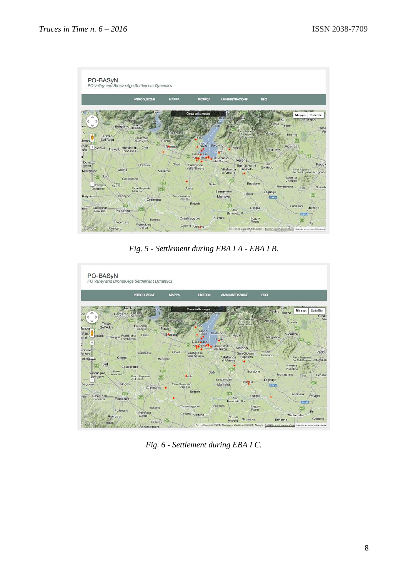

*Fig. 5 - Settlement during EBA I A - EBA I B.*



*Fig. 6 - Settlement during EBA I C.*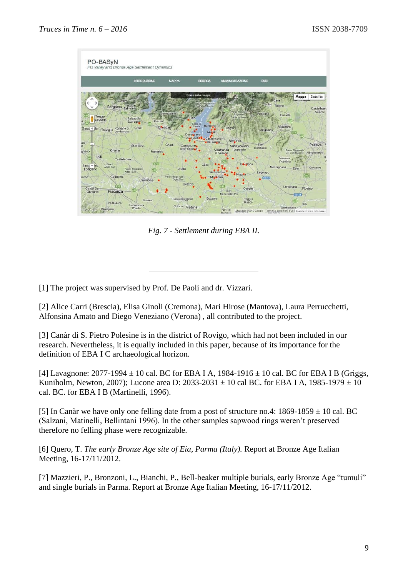

*Fig. 7 - Settlement during EBA II.*

[\[1\]](http://www.archaeologicaltraces.org/#_ftnref1) The project was supervised by Prof. De Paoli and dr. Vizzari.

[\[2\]](http://www.archaeologicaltraces.org/#_ftnref2) Alice Carri (Brescia), Elisa Ginoli (Cremona), Mari Hirose (Mantova), Laura Perrucchetti, Alfonsina Amato and Diego Veneziano (Verona) , all contributed to the project.

[\[3\]](http://www.archaeologicaltraces.org/#_ftnref3) Canàr di S. Pietro Polesine is in the district of Rovigo, which had not been included in our research. Nevertheless, it is equally included in this paper, because of its importance for the definition of EBA I C archaeological horizon.

[\[4\]](http://www.archaeologicaltraces.org/#_ftnref4) Lavagnone:  $2077-1994 \pm 10$  cal. BC for EBA I A,  $1984-1916 \pm 10$  cal. BC for EBA I B (Griggs, Kuniholm, Newton, 2007); Lucone area D: 2033-2031  $\pm$  10 cal BC. for EBA I A, 1985-1979  $\pm$  10 cal. BC. for EBA I B (Martinelli, 1996).

[\[5\]](http://www.archaeologicaltraces.org/#_ftnref5) In Canàr we have only one felling date from a post of structure no.4:  $1869-1859 \pm 10$  cal. BC (Salzani, Matinelli, Bellintani 1996). In the other samples sapwood rings weren't preserved therefore no felling phase were recognizable.

[\[6\]](http://www.archaeologicaltraces.org/#_ftnref6) Quero, T. *The early Bronze Age site of Eia, Parma (Italy).* Report at Bronze Age Italian Meeting, 16-17/11/2012.

[\[7\]](http://www.archaeologicaltraces.org/#_ftnref7) Mazzieri, P., Bronzoni, L., Bianchi, P., Bell-beaker multiple burials, early Bronze Age "tumuli" and single burials in Parma. Report at Bronze Age Italian Meeting, 16-17/11/2012.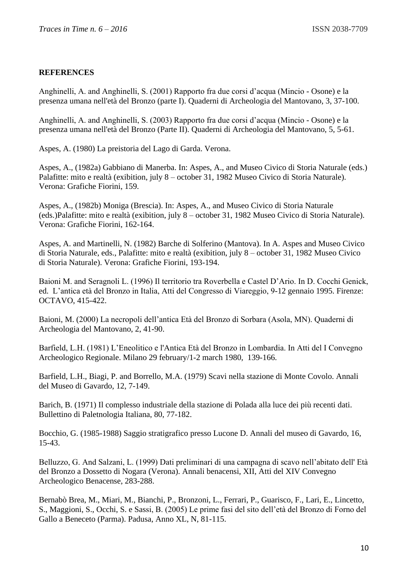## **REFERENCES**

Anghinelli, A. and Anghinelli, S. (2001) Rapporto fra due corsi d'acqua (Mincio - Osone) e la presenza umana nell'età del Bronzo (parte I). Quaderni di Archeologia del Mantovano, 3, 37-100.

Anghinelli, A. and Anghinelli, S. (2003) Rapporto fra due corsi d'acqua (Mincio - Osone) e la presenza umana nell'età del Bronzo (Parte II). Quaderni di Archeologia del Mantovano, 5, 5-61.

Aspes, A. (1980) La preistoria del Lago di Garda. Verona.

Aspes, A., (1982a) Gabbiano di Manerba. In: Aspes, A., and Museo Civico di Storia Naturale (eds.) Palafitte: mito e realtà (exibition, july 8 – october 31, 1982 Museo Civico di Storia Naturale). Verona: Grafiche Fiorini, 159.

Aspes, A., (1982b) Moniga (Brescia). In: Aspes, A., and Museo Civico di Storia Naturale (eds.)Palafitte: mito e realtà (exibition, july 8 – october 31, 1982 Museo Civico di Storia Naturale). Verona: Grafiche Fiorini, 162-164.

Aspes, A. and Martinelli, N. (1982) Barche di Solferino (Mantova). In A. Aspes and Museo Civico di Storia Naturale, eds., Palafitte: mito e realtà (exibition, july 8 – october 31, 1982 Museo Civico di Storia Naturale). Verona: Grafiche Fiorini, 193-194.

Baioni M. and Seragnoli L. (1996) Il territorio tra Roverbella e Castel D'Ario. In D. Cocchi Genick, ed. L'antica età del Bronzo in Italia, Atti del Congresso di Viareggio, 9-12 gennaio 1995. Firenze: OCTAVO, 415-422.

Baioni, M. (2000) La necropoli dell'antica Età del Bronzo di Sorbara (Asola, MN). Quaderni di Archeologia del Mantovano, 2, 41-90.

Barfield, L.H. (1981) L'Eneolitico e l'Antica Età del Bronzo in Lombardia. In Atti del I Convegno Archeologico Regionale. Milano 29 february/1-2 march 1980, 139-166.

Barfield, L.H., Biagi, P. and Borrello, M.A. (1979) Scavi nella stazione di Monte Covolo. Annali del Museo di Gavardo, 12, 7-149.

Barich, B. (1971) Il complesso industriale della stazione di Polada alla luce dei più recenti dati. Bullettino di Paletnologia Italiana, 80, 77-182.

Bocchio, G. (1985-1988) Saggio stratigrafico presso Lucone D. Annali del museo di Gavardo, 16, 15-43.

Belluzzo, G. And Salzani, L. (1999) Dati preliminari di una campagna di scavo nell'abitato dell' Età del Bronzo a Dossetto di Nogara (Verona). Annali benacensi, XII, Atti del XIV Convegno Archeologico Benacense, 283-288.

Bernabò Brea, M., Miari, M., Bianchi, P., Bronzoni, L., Ferrari, P., Guarisco, F., Lari, E., Lincetto, S., Maggioni, S., Occhi, S. e Sassi, B. (2005) Le prime fasi del sito dell'età del Bronzo di Forno del Gallo a Beneceto (Parma). Padusa, Anno XL, N, 81-115.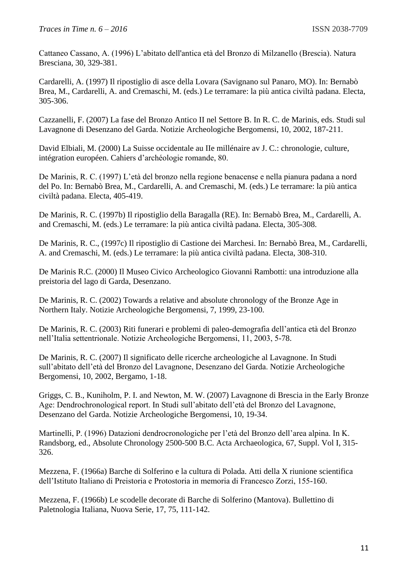Cattaneo Cassano, A. (1996) L'abitato dell'antica età del Bronzo di Milzanello (Brescia). Natura Bresciana, 30, 329-381.

Cardarelli, A. (1997) Il ripostiglio di asce della Lovara (Savignano sul Panaro, MO). In: Bernabò Brea, M., Cardarelli, A. and Cremaschi, M. (eds.) Le terramare: la più antica civiltà padana. Electa, 305-306.

Cazzanelli, F. (2007) La fase del Bronzo Antico II nel Settore B. In R. C. de Marinis, eds. Studi sul Lavagnone di Desenzano del Garda. Notizie Archeologiche Bergomensi, 10, 2002, 187-211.

David Elbiali, M. (2000) La Suisse occidentale au IIe millénaire av J. C.: chronologie, culture, intégration européen. Cahiers d'archéologie romande, 80.

De Marinis, R. C. (1997) L'età del bronzo nella regione benacense e nella pianura padana a nord del Po. In: Bernabò Brea, M., Cardarelli, A. and Cremaschi, M. (eds.) Le terramare: la più antica civiltà padana. Electa, 405-419.

De Marinis, R. C. (1997b) Il ripostiglio della Baragalla (RE). In: Bernabò Brea, M., Cardarelli, A. and Cremaschi, M. (eds.) Le terramare: la più antica civiltà padana. Electa, 305-308.

De Marinis, R. C., (1997c) Il ripostiglio di Castione dei Marchesi. In: Bernabò Brea, M., Cardarelli, A. and Cremaschi, M. (eds.) Le terramare: la più antica civiltà padana. Electa, 308-310.

De Marinis R.C. (2000) Il Museo Civico Archeologico Giovanni Rambotti: una introduzione alla preistoria del lago di Garda, Desenzano.

De Marinis, R. C. (2002) Towards a relative and absolute chronology of the Bronze Age in Northern Italy. Notizie Archeologiche Bergomensi, 7, 1999, 23-100.

De Marinis, R. C. (2003) Riti funerari e problemi di paleo-demografia dell'antica età del Bronzo nell'Italia settentrionale. Notizie Archeologiche Bergomensi, 11, 2003, 5-78.

De Marinis, R. C. (2007) Il significato delle ricerche archeologiche al Lavagnone. In Studi sull'abitato dell'età del Bronzo del Lavagnone, Desenzano del Garda. Notizie Archeologiche Bergomensi, 10, 2002, Bergamo, 1-18.

Griggs, C. B., Kuniholm, P. I. and Newton, M. W. (2007) Lavagnone di Brescia in the Early Bronze Age: Dendrochronological report. In Studi sull'abitato dell'età del Bronzo del Lavagnone, Desenzano del Garda. Notizie Archeologiche Bergomensi, 10, 19-34.

Martinelli, P. (1996) Datazioni dendrocronologiche per l'età del Bronzo dell'area alpina. In K. Randsborg, ed., Absolute Chronology 2500-500 B.C. Acta Archaeologica, 67, Suppl. Vol I, 315- 326.

Mezzena, F. (1966a) Barche di Solferino e la cultura di Polada. Atti della X riunione scientifica dell'Istituto Italiano di Preistoria e Protostoria in memoria di Francesco Zorzi, 155-160.

Mezzena, F. (1966b) Le scodelle decorate di Barche di Solferino (Mantova). Bullettino di Paletnologia Italiana, Nuova Serie, 17, 75, 111-142.